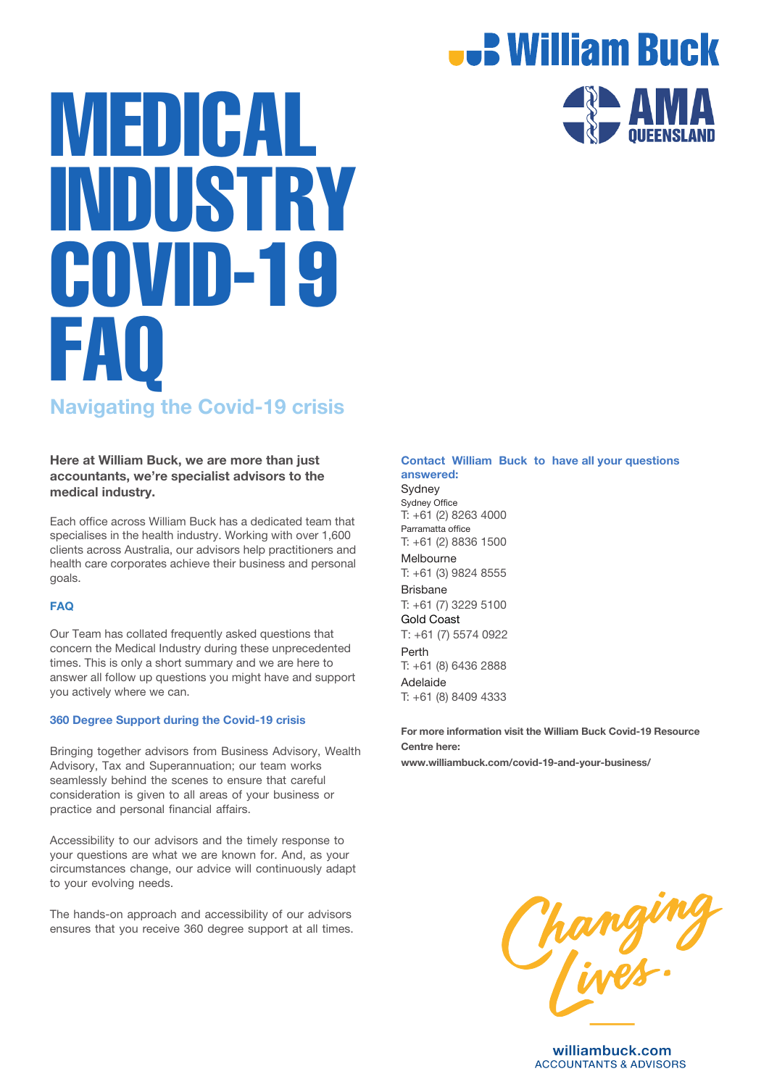# MEDICAL INDUSTRY COVID-19 FAQ Navigating the Covid-19 crisis

#### Here at William Buck, we are more than just accountants, we're specialist advisors to the medical industry.

Each office across William Buck has a dedicated team that specialises in the health industry. Working with over 1,600 clients across Australia, our advisors help practitioners and health care corporates achieve their business and personal goals.

#### **FAQ**

Our Team has collated frequently asked questions that concern the Medical Industry during these unprecedented times. This is only a short summary and we are here to answer all follow up questions you might have and support you actively where we can.

#### 360 Degree Support during the Covid-19 crisis

Bringing together advisors from Business Advisory, Wealth Advisory, Tax and Superannuation; our team works seamlessly behind the scenes to ensure that careful consideration is given to all areas of your business or practice and personal financial affairs.

Accessibility to our advisors and the timely response to your questions are what we are known for. And, as your circumstances change, our advice will continuously adapt to your evolving needs.

The hands-on approach and accessibility of our advisors ensures that you receive 360 degree support at all times.

#### Contact William Buck to have all your questions answered:

**U.S. William Buck** 

**Sydney** Sydney Office T: +61 (2) 8263 4000 Parramatta office T: +61 (2) 8836 1500 Melbourne T: +61 (3) 9824 8555 Brisbane T: +61 (7) 3229 5100 Gold Coast T: +61 (7) 5574 0922 Perth T: +61 (8) 6436 2888 Adelaide T: +61 (8) 8409 4333

For more information visit the William Buck Covid-19 Resource Centre here:

www.williambuck.com/covid-19-and-your-business/



williambuck.com **ACCOUNTANTS & ADVISORS**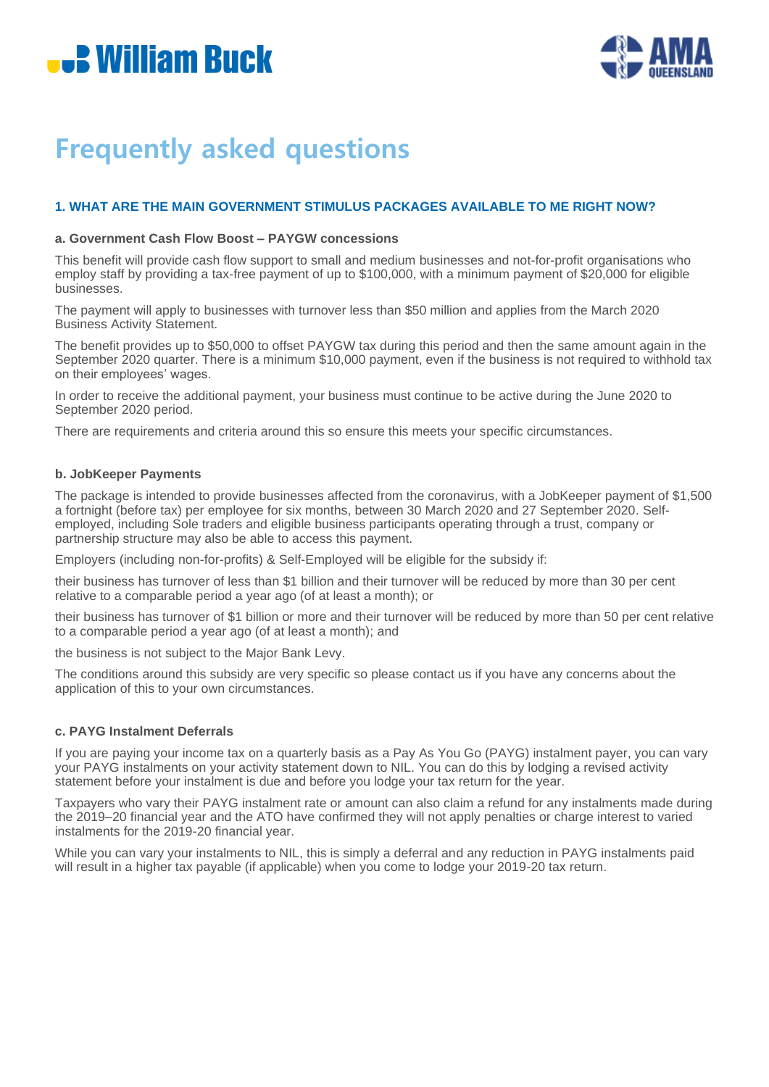



### **Frequently asked questions**

#### **1. WHAT ARE THE MAIN GOVERNMENT STIMULUS PACKAGES AVAILABLE TO ME RIGHT NOW?**

#### **a. Government Cash Flow Boost – PAYGW concessions**

This benefit will provide cash flow support to small and medium businesses and not-for-profit organisations who employ staff by providing a tax-free payment of up to \$100,000, with a minimum payment of \$20,000 for eligible businesses.

The payment will apply to businesses with turnover less than \$50 million and applies from the March 2020 Business Activity Statement.

The benefit provides up to \$50,000 to offset PAYGW tax during this period and then the same amount again in the September 2020 quarter. There is a minimum \$10,000 payment, even if the business is not required to withhold tax on their employees' wages.

In order to receive the additional payment, your business must continue to be active during the June 2020 to September 2020 period.

There are requirements and criteria around this so ensure this meets your specific circumstances.

#### **b. JobKeeper Payments**

The package is intended to provide businesses affected from the coronavirus, with a JobKeeper payment of \$1,500 a fortnight (before tax) per employee for six months, between 30 March 2020 and 27 September 2020. Selfemployed, including Sole traders and eligible business participants operating through a trust, company or partnership structure may also be able to access this payment.

Employers (including non-for-profits) & Self-Employed will be eligible for the subsidy if:

their business has turnover of less than \$1 billion and their turnover will be reduced by more than 30 per cent relative to a comparable period a year ago (of at least a month); or

their business has turnover of \$1 billion or more and their turnover will be reduced by more than 50 per cent relative to a comparable period a year ago (of at least a month); and

the business is not subject to the Major Bank Levy.

The conditions around this subsidy are very specific so please contact us if you have any concerns about the application of this to your own circumstances.

#### **c. PAYG Instalment Deferrals**

If you are paying your income tax on a quarterly basis as a Pay As You Go (PAYG) instalment payer, you can vary your PAYG instalments on your activity statement down to NIL. You can do this by lodging a revised activity statement before your instalment is due and before you lodge your tax return for the year.

Taxpayers who vary their PAYG instalment rate or amount can also claim a refund for any instalments made during the 2019–20 financial year and the ATO have confirmed they will not apply penalties or charge interest to varied instalments for the 2019-20 financial year.

While you can vary your instalments to NIL, this is simply a deferral and any reduction in PAYG instalments paid will result in a higher tax payable (if applicable) when you come to lodge your 2019-20 tax return.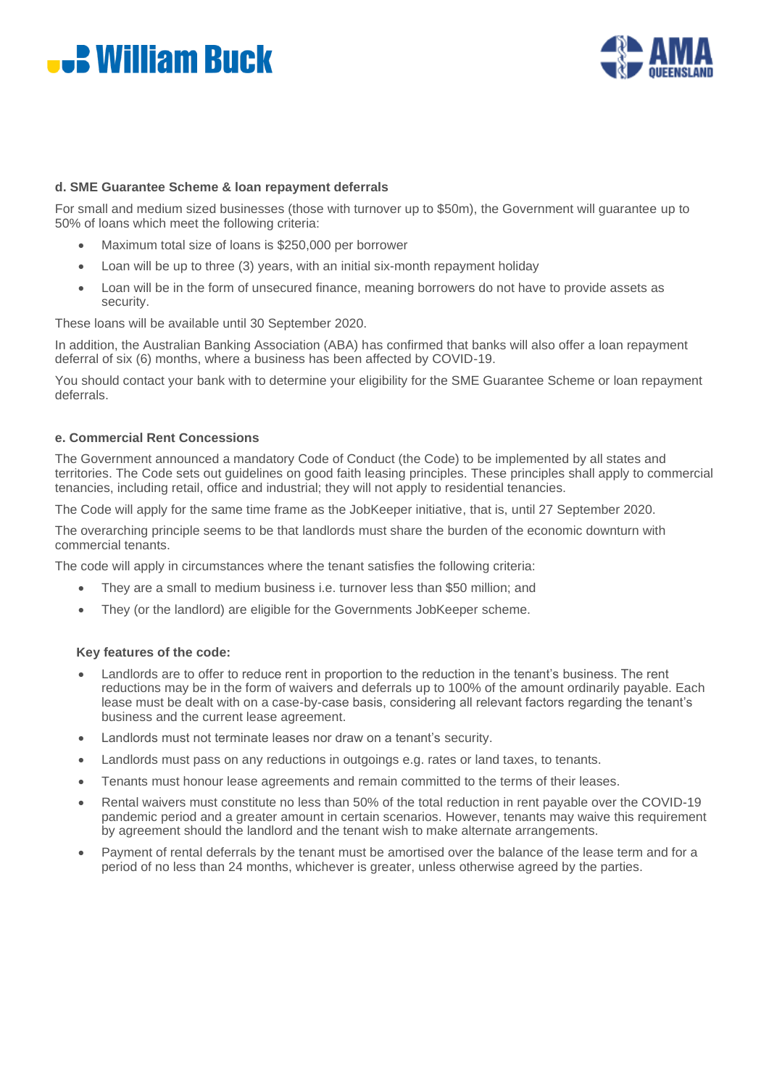## **U.S. William Buck**



#### **d. SME Guarantee Scheme & loan repayment deferrals**

For small and medium sized businesses (those with turnover up to \$50m), the Government will guarantee up to 50% of loans which meet the following criteria:

- Maximum total size of loans is \$250,000 per borrower
- Loan will be up to three (3) years, with an initial six-month repayment holiday
- Loan will be in the form of unsecured finance, meaning borrowers do not have to provide assets as security.

These loans will be available until 30 September 2020.

In addition, the Australian Banking Association (ABA) has confirmed that banks will also offer a loan repayment deferral of six (6) months, where a business has been affected by COVID-19.

You should contact your bank with to determine your eligibility for the SME Guarantee Scheme or loan repayment deferrals.

#### **e. Commercial Rent Concessions**

The Government announced a mandatory Code of Conduct (the Code) to be implemented by all states and territories. The Code sets out guidelines on good faith leasing principles. These principles shall apply to commercial tenancies, including retail, office and industrial; they will not apply to residential tenancies.

The Code will apply for the same time frame as the JobKeeper initiative, that is, until 27 September 2020.

The overarching principle seems to be that landlords must share the burden of the economic downturn with commercial tenants.

The code will apply in circumstances where the tenant satisfies the following criteria:

- They are a small to medium business i.e. turnover less than \$50 million; and
- They (or the landlord) are eligible for the Governments JobKeeper scheme.

#### **Key features of the code:**

- Landlords are to offer to reduce rent in proportion to the reduction in the tenant's business. The rent reductions may be in the form of waivers and deferrals up to 100% of the amount ordinarily payable. Each lease must be dealt with on a case-by-case basis, considering all relevant factors regarding the tenant's business and the current lease agreement.
- Landlords must not terminate leases nor draw on a tenant's security.
- Landlords must pass on any reductions in outgoings e.g. rates or land taxes, to tenants.
- Tenants must honour lease agreements and remain committed to the terms of their leases.
- Rental waivers must constitute no less than 50% of the total reduction in rent payable over the COVID-19 pandemic period and a greater amount in certain scenarios. However, tenants may waive this requirement by agreement should the landlord and the tenant wish to make alternate arrangements.
- Payment of rental deferrals by the tenant must be amortised over the balance of the lease term and for a period of no less than 24 months, whichever is greater, unless otherwise agreed by the parties.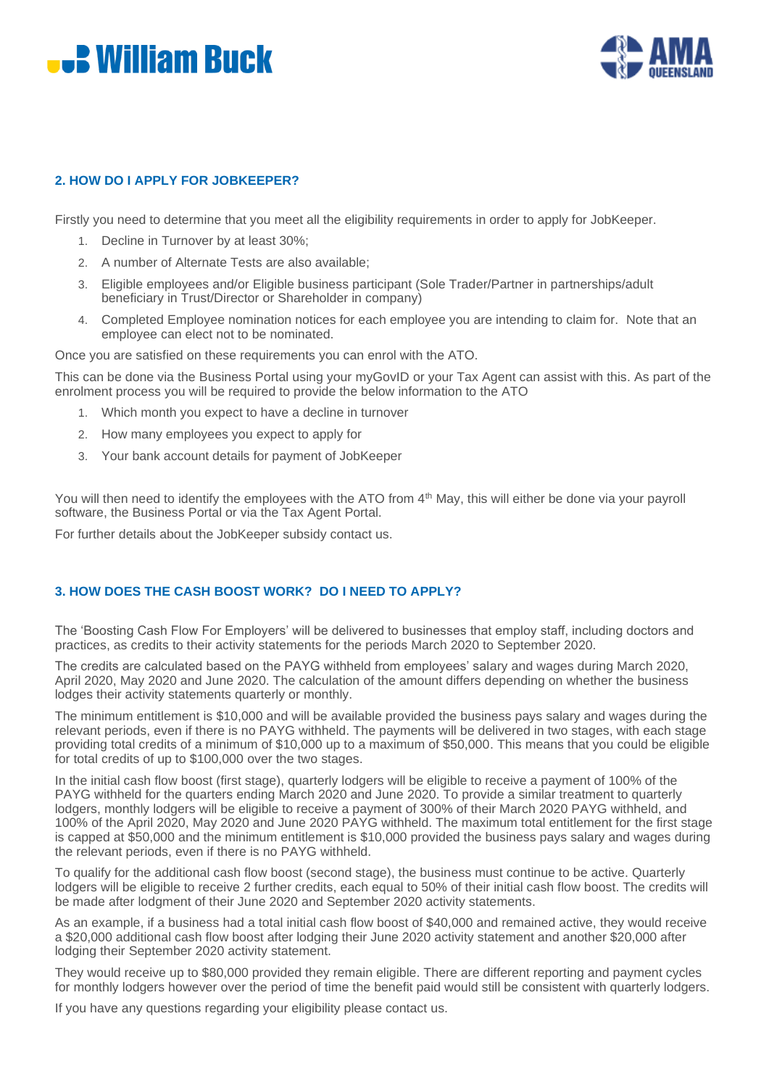### **U.B. William Buck**



#### **2. HOW DO I APPLY FOR JOBKEEPER?**

Firstly you need to determine that you meet all the eligibility requirements in order to apply for JobKeeper.

- 1. Decline in Turnover by at least 30%;
- 2. A number of Alternate Tests are also available;
- 3. Eligible employees and/or Eligible business participant (Sole Trader/Partner in partnerships/adult beneficiary in Trust/Director or Shareholder in company)
- 4. Completed Employee nomination notices for each employee you are intending to claim for. Note that an employee can elect not to be nominated.

Once you are satisfied on these requirements you can enrol with the ATO.

This can be done via the Business Portal using your myGovID or your Tax Agent can assist with this. As part of the enrolment process you will be required to provide the below information to the ATO

- 1. Which month you expect to have a decline in turnover
- 2. How many employees you expect to apply for
- 3. Your bank account details for payment of JobKeeper

You will then need to identify the employees with the ATO from 4<sup>th</sup> May, this will either be done via your payroll software, the Business Portal or via the Tax Agent Portal.

For further details about the JobKeeper subsidy contact us.

#### **3. HOW DOES THE CASH BOOST WORK? DO I NEED TO APPLY?**

The 'Boosting Cash Flow For Employers' will be delivered to businesses that employ staff, including doctors and practices, as credits to their activity statements for the periods March 2020 to September 2020.

The credits are calculated based on the PAYG withheld from employees' salary and wages during March 2020, April 2020, May 2020 and June 2020. The calculation of the amount differs depending on whether the business lodges their activity statements quarterly or monthly.

The minimum entitlement is \$10,000 and will be available provided the business pays salary and wages during the relevant periods, even if there is no PAYG withheld. The payments will be delivered in two stages, with each stage providing total credits of a minimum of \$10,000 up to a maximum of \$50,000. This means that you could be eligible for total credits of up to \$100,000 over the two stages.

In the initial cash flow boost (first stage), quarterly lodgers will be eligible to receive a payment of 100% of the PAYG withheld for the quarters ending March 2020 and June 2020. To provide a similar treatment to quarterly lodgers, monthly lodgers will be eligible to receive a payment of 300% of their March 2020 PAYG withheld, and 100% of the April 2020, May 2020 and June 2020 PAYG withheld. The maximum total entitlement for the first stage is capped at \$50,000 and the minimum entitlement is \$10,000 provided the business pays salary and wages during the relevant periods, even if there is no PAYG withheld.

To qualify for the additional cash flow boost (second stage), the business must continue to be active. Quarterly lodgers will be eligible to receive 2 further credits, each equal to 50% of their initial cash flow boost. The credits will be made after lodgment of their June 2020 and September 2020 activity statements.

As an example, if a business had a total initial cash flow boost of \$40,000 and remained active, they would receive a \$20,000 additional cash flow boost after lodging their June 2020 activity statement and another \$20,000 after lodging their September 2020 activity statement.

They would receive up to \$80,000 provided they remain eligible. There are different reporting and payment cycles for monthly lodgers however over the period of time the benefit paid would still be consistent with quarterly lodgers.

If you have any questions regarding your eligibility please contact us.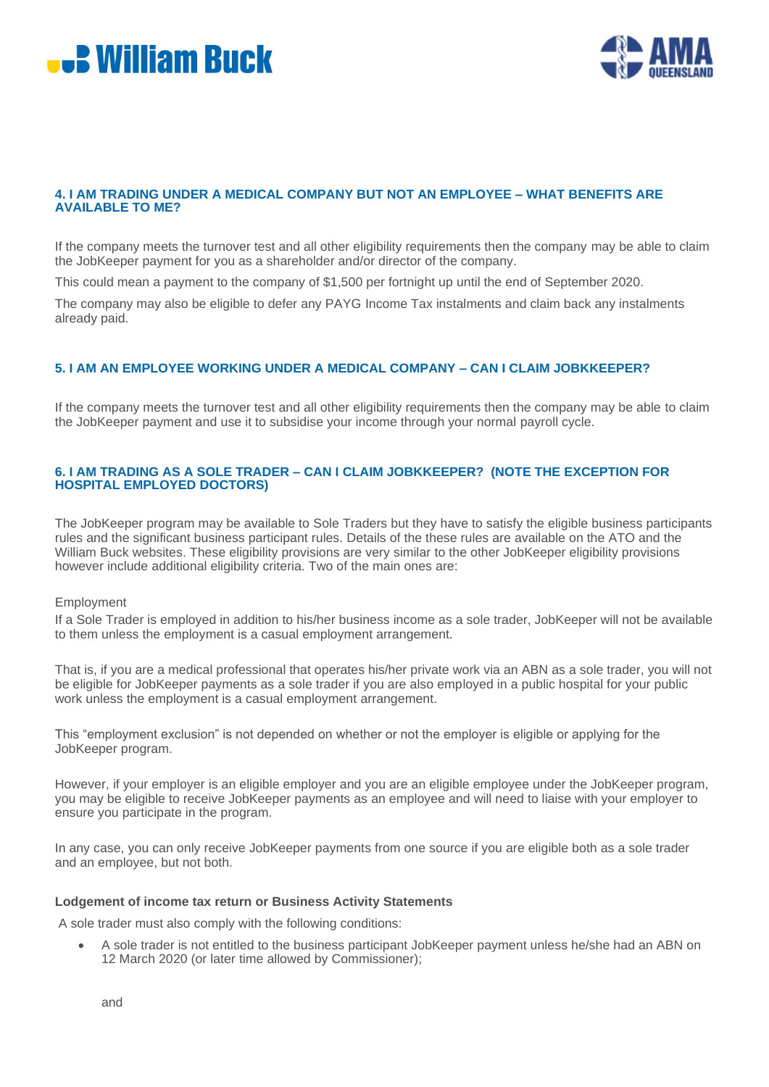



#### **4. I AM TRADING UNDER A MEDICAL COMPANY BUT NOT AN EMPLOYEE – WHAT BENEFITS ARE AVAILABLE TO ME?**

If the company meets the turnover test and all other eligibility requirements then the company may be able to claim the JobKeeper payment for you as a shareholder and/or director of the company.

This could mean a payment to the company of \$1,500 per fortnight up until the end of September 2020.

The company may also be eligible to defer any PAYG Income Tax instalments and claim back any instalments already paid.

#### **5. I AM AN EMPLOYEE WORKING UNDER A MEDICAL COMPANY – CAN I CLAIM JOBKKEEPER?**

If the company meets the turnover test and all other eligibility requirements then the company may be able to claim the JobKeeper payment and use it to subsidise your income through your normal payroll cycle.

#### **6. I AM TRADING AS A SOLE TRADER – CAN I CLAIM JOBKKEEPER? (NOTE THE EXCEPTION FOR HOSPITAL EMPLOYED DOCTORS)**

The JobKeeper program may be available to Sole Traders but they have to satisfy the eligible business participants rules and the significant business participant rules. Details of the these rules are available on the ATO and the William Buck websites. These eligibility provisions are very similar to the other JobKeeper eligibility provisions however include additional eligibility criteria. Two of the main ones are:

#### Employment

If a Sole Trader is employed in addition to his/her business income as a sole trader, JobKeeper will not be available to them unless the employment is a casual employment arrangement.

That is, if you are a medical professional that operates his/her private work via an ABN as a sole trader, you will not be eligible for JobKeeper payments as a sole trader if you are also employed in a public hospital for your public work unless the employment is a casual employment arrangement.

This "employment exclusion" is not depended on whether or not the employer is eligible or applying for the JobKeeper program.

However, if your employer is an eligible employer and you are an eligible employee under the JobKeeper program, you may be eligible to receive JobKeeper payments as an employee and will need to liaise with your employer to ensure you participate in the program.

In any case, you can only receive JobKeeper payments from one source if you are eligible both as a sole trader and an employee, but not both.

#### **Lodgement of income tax return or Business Activity Statements**

A sole trader must also comply with the following conditions:

• A sole trader is not entitled to the business participant JobKeeper payment unless he/she had an ABN on 12 March 2020 (or later time allowed by Commissioner);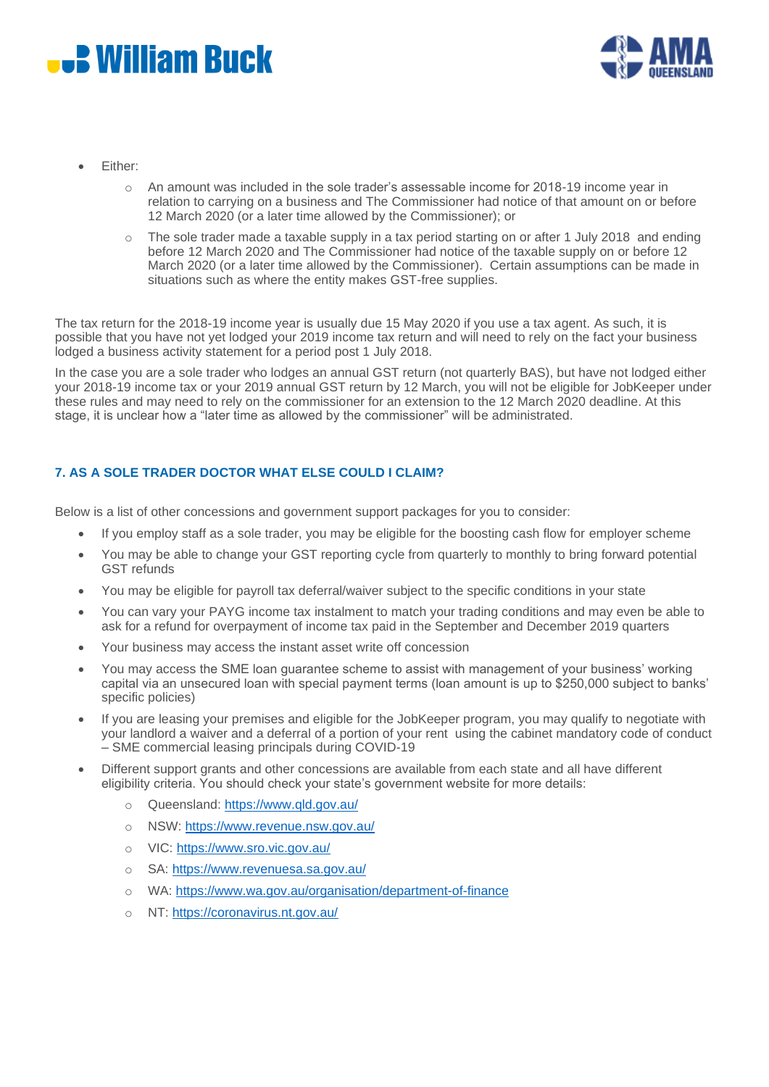



- Either:
	- $\circ$  An amount was included in the sole trader's assessable income for 2018-19 income year in relation to carrying on a business and The Commissioner had notice of that amount on or before 12 March 2020 (or a later time allowed by the Commissioner); or
	- $\circ$  The sole trader made a taxable supply in a tax period starting on or after 1 July 2018 and ending before 12 March 2020 and The Commissioner had notice of the taxable supply on or before 12 March 2020 (or a later time allowed by the Commissioner). Certain assumptions can be made in situations such as where the entity makes GST-free supplies.

The tax return for the 2018-19 income year is usually due 15 May 2020 if you use a tax agent. As such, it is possible that you have not yet lodged your 2019 income tax return and will need to rely on the fact your business lodged a business activity statement for a period post 1 July 2018.

In the case you are a sole trader who lodges an annual GST return (not quarterly BAS), but have not lodged either your 2018-19 income tax or your 2019 annual GST return by 12 March, you will not be eligible for JobKeeper under these rules and may need to rely on the commissioner for an extension to the 12 March 2020 deadline. At this stage, it is unclear how a "later time as allowed by the commissioner" will be administrated.

#### **7. AS A SOLE TRADER DOCTOR WHAT ELSE COULD I CLAIM?**

Below is a list of other concessions and government support packages for you to consider:

- If you employ staff as a sole trader, you may be eligible for the boosting cash flow for employer scheme
- You may be able to change your GST reporting cycle from quarterly to monthly to bring forward potential GST refunds
- You may be eligible for payroll tax deferral/waiver subject to the specific conditions in your state
- You can vary your PAYG income tax instalment to match your trading conditions and may even be able to ask for a refund for overpayment of income tax paid in the September and December 2019 quarters
- Your business may access the instant asset write off concession
- You may access the SME loan guarantee scheme to assist with management of your business' working capital via an unsecured loan with special payment terms (loan amount is up to \$250,000 subject to banks' specific policies)
- If you are leasing your premises and eligible for the JobKeeper program, you may qualify to negotiate with your landlord a waiver and a deferral of a portion of your rent using the cabinet mandatory code of conduct – SME commercial leasing principals during COVID-19
- Different support grants and other concessions are available from each state and all have different eligibility criteria. You should check your state's government website for more details:
	- o Queensland:<https://www.qld.gov.au/>
	- o NSW:<https://www.revenue.nsw.gov.au/>
	- o VIC:<https://www.sro.vic.gov.au/>
	- o SA:<https://www.revenuesa.sa.gov.au/>
	- o WA:<https://www.wa.gov.au/organisation/department-of-finance>
	- o NT:<https://coronavirus.nt.gov.au/>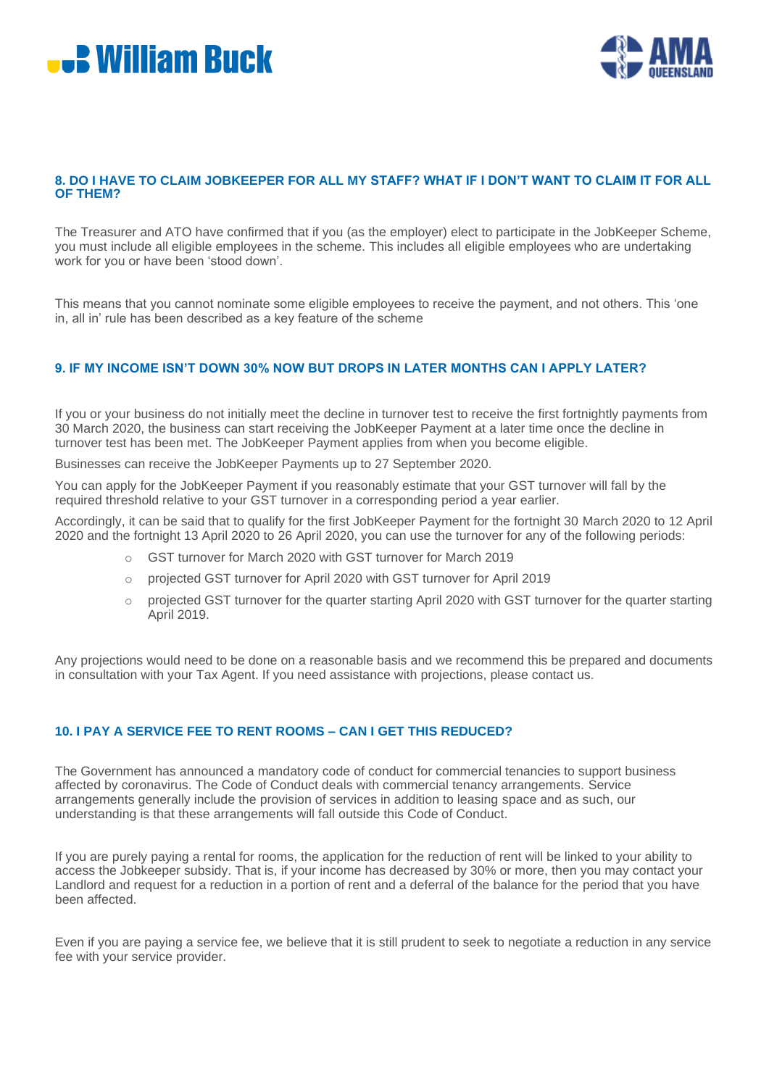



#### **8. DO I HAVE TO CLAIM JOBKEEPER FOR ALL MY STAFF? WHAT IF I DON'T WANT TO CLAIM IT FOR ALL OF THEM?**

The Treasurer and ATO have confirmed that if you (as the employer) elect to participate in the JobKeeper Scheme, you must include all eligible employees in the scheme. This includes all eligible employees who are undertaking work for you or have been 'stood down'.

This means that you cannot nominate some eligible employees to receive the payment, and not others. This 'one in, all in' rule has been described as a key feature of the scheme

#### **9. IF MY INCOME ISN'T DOWN 30% NOW BUT DROPS IN LATER MONTHS CAN I APPLY LATER?**

If you or your business do not initially meet the decline in turnover test to receive the first fortnightly payments from 30 March 2020, the business can start receiving the JobKeeper Payment at a later time once the decline in turnover test has been met. The JobKeeper Payment applies from when you become eligible.

Businesses can receive the JobKeeper Payments up to 27 September 2020.

You can apply for the JobKeeper Payment if you reasonably estimate that your GST turnover will fall by the required threshold relative to your GST turnover in a corresponding period a year earlier.

Accordingly, it can be said that to qualify for the first JobKeeper Payment for the fortnight 30 March 2020 to 12 April 2020 and the fortnight 13 April 2020 to 26 April 2020, you can use the turnover for any of the following periods:

- o GST turnover for March 2020 with GST turnover for March 2019
- o projected GST turnover for April 2020 with GST turnover for April 2019
- o projected GST turnover for the quarter starting April 2020 with GST turnover for the quarter starting April 2019.

Any projections would need to be done on a reasonable basis and we recommend this be prepared and documents in consultation with your Tax Agent. If you need assistance with projections, please contact us.

#### **10. I PAY A SERVICE FEE TO RENT ROOMS – CAN I GET THIS REDUCED?**

The Government has announced a mandatory code of conduct for commercial tenancies to support business affected by coronavirus. The Code of Conduct deals with commercial tenancy arrangements. Service arrangements generally include the provision of services in addition to leasing space and as such, our understanding is that these arrangements will fall outside this Code of Conduct.

If you are purely paying a rental for rooms, the application for the reduction of rent will be linked to your ability to access the Jobkeeper subsidy. That is, if your income has decreased by 30% or more, then you may contact your Landlord and request for a reduction in a portion of rent and a deferral of the balance for the period that you have been affected.

Even if you are paying a service fee, we believe that it is still prudent to seek to negotiate a reduction in any service fee with your service provider.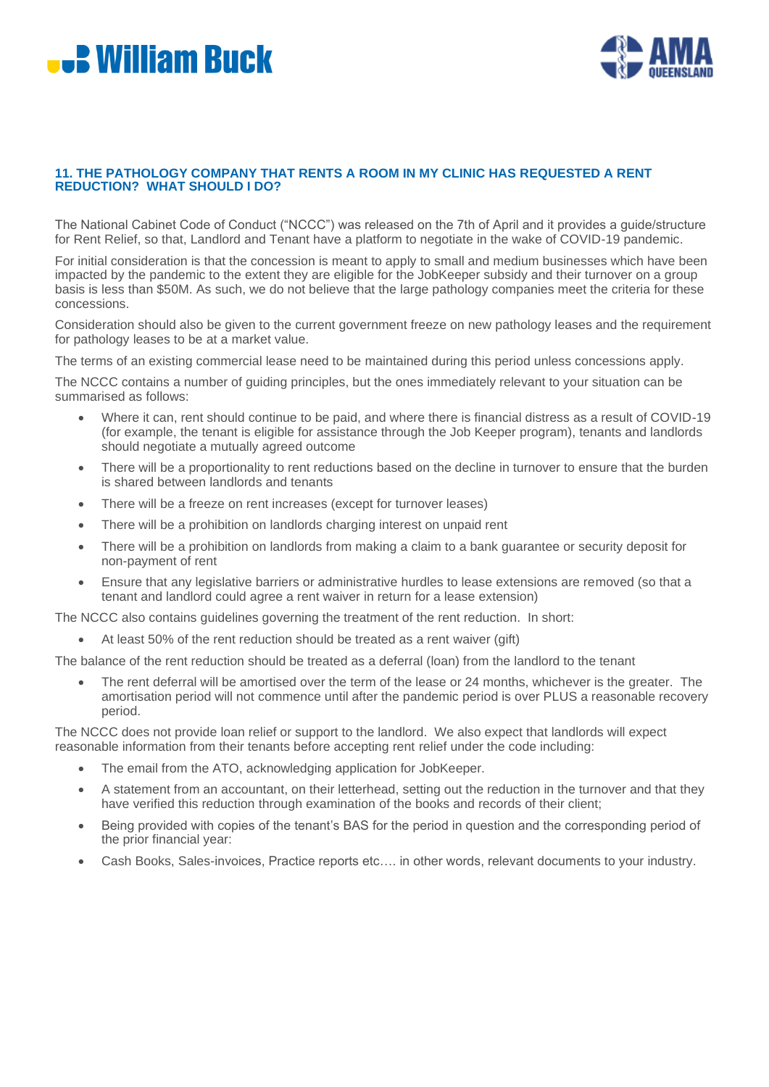### **U.S. William Buck**



#### **11. THE PATHOLOGY COMPANY THAT RENTS A ROOM IN MY CLINIC HAS REQUESTED A RENT REDUCTION? WHAT SHOULD I DO?**

The National Cabinet Code of Conduct ("NCCC") was released on the 7th of April and it provides a guide/structure for Rent Relief, so that, Landlord and Tenant have a platform to negotiate in the wake of COVID-19 pandemic.

For initial consideration is that the concession is meant to apply to small and medium businesses which have been impacted by the pandemic to the extent they are eligible for the JobKeeper subsidy and their turnover on a group basis is less than \$50M. As such, we do not believe that the large pathology companies meet the criteria for these concessions.

Consideration should also be given to the current government freeze on new pathology leases and the requirement for pathology leases to be at a market value.

The terms of an existing commercial lease need to be maintained during this period unless concessions apply.

The NCCC contains a number of guiding principles, but the ones immediately relevant to your situation can be summarised as follows:

- Where it can, rent should continue to be paid, and where there is financial distress as a result of COVID-19 (for example, the tenant is eligible for assistance through the Job Keeper program), tenants and landlords should negotiate a mutually agreed outcome
- There will be a proportionality to rent reductions based on the decline in turnover to ensure that the burden is shared between landlords and tenants
- There will be a freeze on rent increases (except for turnover leases)
- There will be a prohibition on landlords charging interest on unpaid rent
- There will be a prohibition on landlords from making a claim to a bank guarantee or security deposit for non-payment of rent
- Ensure that any legislative barriers or administrative hurdles to lease extensions are removed (so that a tenant and landlord could agree a rent waiver in return for a lease extension)

The NCCC also contains guidelines governing the treatment of the rent reduction. In short:

• At least 50% of the rent reduction should be treated as a rent waiver (gift)

The balance of the rent reduction should be treated as a deferral (loan) from the landlord to the tenant

The rent deferral will be amortised over the term of the lease or 24 months, whichever is the greater. The amortisation period will not commence until after the pandemic period is over PLUS a reasonable recovery period.

The NCCC does not provide loan relief or support to the landlord. We also expect that landlords will expect reasonable information from their tenants before accepting rent relief under the code including:

- The email from the ATO, acknowledging application for JobKeeper.
- A statement from an accountant, on their letterhead, setting out the reduction in the turnover and that they have verified this reduction through examination of the books and records of their client;
- Being provided with copies of the tenant's BAS for the period in question and the corresponding period of the prior financial year:
- Cash Books, Sales-invoices, Practice reports etc…. in other words, relevant documents to your industry.